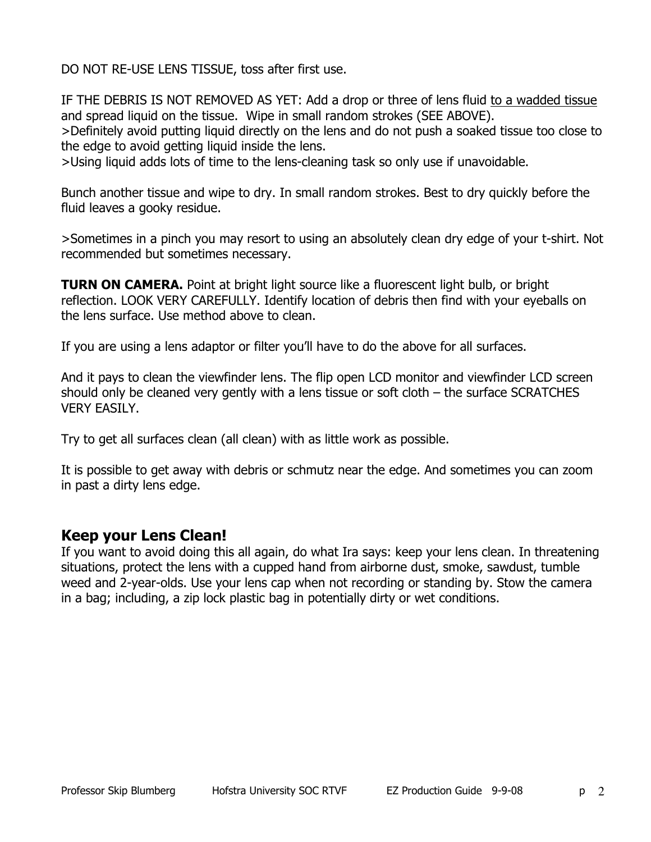DO NOT RE-USE LENS TISSUE, toss after first use.

IF THE DEBRIS IS NOT REMOVED AS YET: Add a drop or three of lens fluid to a wadded tissue and spread liquid on the tissue. Wipe in small random strokes (SEE ABOVE).

>Definitely avoid putting liquid directly on the lens and do not push a soaked tissue too close to the edge to avoid getting liquid inside the lens.

>Using liquid adds lots of time to the lens-cleaning task so only use if unavoidable.

Bunch another tissue and wipe to dry. In small random strokes. Best to dry quickly before the fluid leaves a gooky residue.

>Sometimes in a pinch you may resort to using an absolutely clean dry edge of your t-shirt. Not recommended but sometimes necessary.

**TURN ON CAMERA.** Point at bright light source like a fluorescent light bulb, or bright reflection. LOOK VERY CAREFULLY. Identify location of debris then find with your eyeballs on the lens surface. Use method above to clean.

If you are using a lens adaptor or filter you'll have to do the above for all surfaces.

And it pays to clean the viewfinder lens. The flip open LCD monitor and viewfinder LCD screen should only be cleaned very gently with a lens tissue or soft cloth – the surface SCRATCHES VERY EASILY.

Try to get all surfaces clean (all clean) with as little work as possible.

It is possible to get away with debris or schmutz near the edge. And sometimes you can zoom in past a dirty lens edge.

## **Keep your Lens Clean!**

If you want to avoid doing this all again, do what Ira says: keep your lens clean. In threatening situations, protect the lens with a cupped hand from airborne dust, smoke, sawdust, tumble weed and 2-year-olds. Use your lens cap when not recording or standing by. Stow the camera in a bag; including, a zip lock plastic bag in potentially dirty or wet conditions.